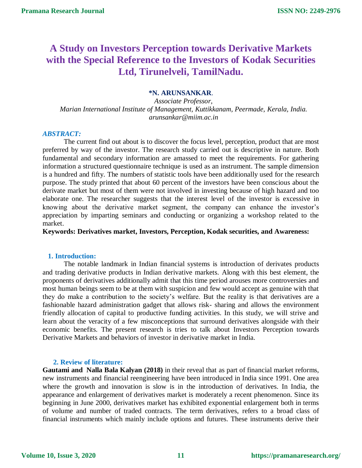# **A Study on Investors Perception towards Derivative Markets with the Special Reference to the Investors of Kodak Securities Ltd, Tirunelveli, TamilNadu.**

## **\*N. ARUNSANKAR**.

*Associate Professor, Marian International Institute of Management, Kuttikkanam, Peermade, Kerala, India. arunsankar@miim.ac.in*

## *ABSTRACT:*

The current find out about is to discover the focus level, perception, product that are most preferred by way of the investor. The research study carried out is descriptive in nature. Both fundamental and secondary information are amassed to meet the requirements. For gathering information a structured questionnaire technique is used as an instrument. The sample dimension is a hundred and fifty. The numbers of statistic tools have been additionally used for the research purpose. The study printed that about 60 percent of the investors have been conscious about the derivate market but most of them were not involved in investing because of high hazard and too elaborate one. The researcher suggests that the interest level of the investor is excessive in knowing about the derivative market segment, the company can enhance the investor's appreciation by imparting seminars and conducting or organizing a workshop related to the market.

## **Keywords: Derivatives market, Investors, Perception, Kodak securities, and Awareness:**

#### **1. Introduction:**

The notable landmark in Indian financial systems is introduction of derivates products and trading derivative products in Indian derivative markets. Along with this best element, the proponents of derivatives additionally admit that this time period arouses more controversies and most human beings seem to be at them with suspicion and few would accept as genuine with that they do make a contribution to the society's welfare. But the reality is that derivatives are a fashionable hazard administration gadget that allows risk- sharing and allows the environment friendly allocation of capital to productive funding activities. In this study, we will strive and learn about the veracity of a few misconceptions that surround derivatives alongside with their economic benefits. The present research is tries to talk about Investors Perception towards Derivative Markets and behaviors of investor in derivative market in India.

#### **2. Review of literature:**

**Gautami and Nalla Bala Kalyan (2018)** in their reveal that as part of financial market reforms, new instruments and financial reengineering have been introduced in India since 1991. One area where the growth and innovation is slow is in the introduction of derivatives. In India, the appearance and enlargement of derivatives market is moderately a recent phenomenon. Since its beginning in June 2000, derivatives market has exhibited exponential enlargement both in terms of volume and number of traded contracts. The term derivatives, refers to a broad class of financial instruments which mainly include options and futures. These instruments derive their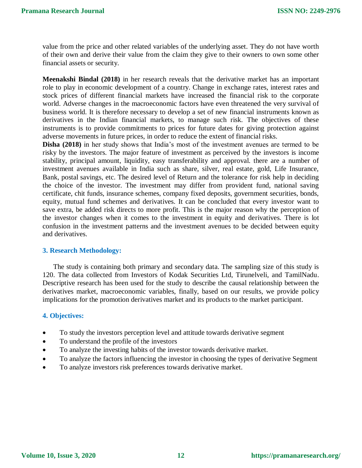value from the price and other related variables of the underlying asset. They do not have worth of their own and derive their value from the claim they give to their owners to own some other financial assets or security.

**Meenakshi Bindal (2018)** in her research reveals that the derivative market has an important role to play in economic development of a country. Change in exchange rates, interest rates and stock prices of different financial markets have increased the financial risk to the corporate world. Adverse changes in the macroeconomic factors have even threatened the very survival of business world. It is therefore necessary to develop a set of new financial instruments known as derivatives in the Indian financial markets, to manage such risk. The objectives of these instruments is to provide commitments to prices for future dates for giving protection against adverse movements in future prices, in order to reduce the extent of financial risks.

**Disha (2018)** in her study shows that India's most of the investment avenues are termed to be risky by the investors. The major feature of investment as perceived by the investors is income stability, principal amount, liquidity, easy transferability and approval. there are a number of investment avenues available in India such as share, silver, real estate, gold, Life Insurance, Bank, postal savings, etc. The desired level of Return and the tolerance for risk help in deciding the choice of the investor. The investment may differ from provident fund, national saving certificate, chit funds, insurance schemes, company fixed deposits, government securities, bonds, equity, mutual fund schemes and derivatives. It can be concluded that every investor want to save extra, be added risk directs to more profit. This is the major reason why the perception of the investor changes when it comes to the investment in equity and derivatives. There is lot confusion in the investment patterns and the investment avenues to be decided between equity and derivatives.

## **3. Research Methodology:**

The study is containing both primary and secondary data. The sampling size of this study is 120. The data collected from Investors of Kodak Securities Ltd, Tirunelveli, and TamilNadu. Descriptive research has been used for the study to describe the causal relationship between the derivatives market, macroeconomic variables, finally, based on our results, we provide policy implications for the promotion derivatives market and its products to the market participant.

## **4. Objectives:**

- To study the investors perception level and attitude towards derivative segment
- To understand the profile of the investors
- To analyze the investing habits of the investor towards derivative market.
- To analyze the factors influencing the investor in choosing the types of derivative Segment
- To analyze investors risk preferences towards derivative market.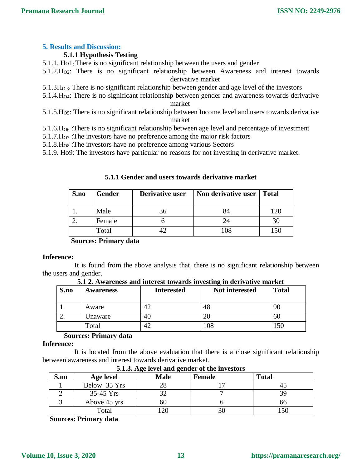## **5. Results and Discussion:**

## **5.1.1 Hypothesis Testing**

- 5.1.1. Ho1: There is no significant relationship between the users and gender
- 5.1.2.HO2: There is no significant relationship between Awareness and interest towards derivative market
- $5.1.3H<sub>0.3</sub>$ : There is no significant relationship between gender and age level of the investors
- 5.1.4.HO4: There is no significant relationship between gender and awareness towards derivative market
- $5.1.5.H<sub>05</sub>$ : There is no significant relationship between Income level and users towards derivative market
- $5.1.6 \text{H}_{\text{O6}}$ : There is no significant relationship between age level and percentage of investment
- 5.1.7. $H<sub>07</sub>$ : The investors have no preference among the major risk factors
- 5.1.8.HO8 :The investors have no preference among various Sectors
- 5.1.9. Ho9: The investors have particular no reasons for not investing in derivative market.

| 5.1.1 Gender and users towards derivative market |  |  |  |  |  |  |  |
|--------------------------------------------------|--|--|--|--|--|--|--|
|--------------------------------------------------|--|--|--|--|--|--|--|

| S.no | <b>Gender</b> | Derivative user | Non derivative user | <b>Total</b> |
|------|---------------|-----------------|---------------------|--------------|
|      | Male          |                 |                     |              |
|      | Female        |                 | 24                  |              |
|      | Total         |                 | 108                 |              |

**Sources: Primary data**

#### **Inference:**

It is found from the above analysis that, there is no significant relationship between the users and gender.

**5.1 2. Awareness and interest towards investing in derivative market**

| S.no | <b>Awareness</b> | <b>Interested</b> | <b>Not interested</b> | <b>Total</b> |
|------|------------------|-------------------|-----------------------|--------------|
| . .  | Aware            |                   | 48                    | 90           |
| ـ.   | Unaware          | 40                |                       | 60           |
|      | Total            |                   | .08                   | .50          |

## **Sources: Primary data**

#### **Inference:**

It is located from the above evaluation that there is a close significant relationship between awareness and interest towards derivative market. **5.1.3. Age level and gender of the investors**

| 3.1.3. Age level and genuel of the investors |              |             |               |              |
|----------------------------------------------|--------------|-------------|---------------|--------------|
| S.no                                         | Age level    | <b>Male</b> | <b>Female</b> | <b>Total</b> |
|                                              | Below 35 Yrs | າຂ          |               |              |
|                                              | $35-45$ Yrs  |             |               |              |
|                                              | Above 45 yrs | nu          |               | nn           |
|                                              | Total        | ാറ          |               | 150          |

**Sources: Primary data**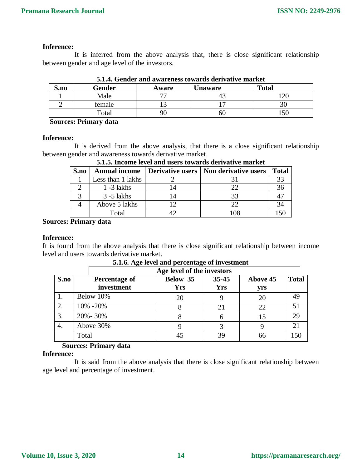## **Inference:**

It is inferred from the above analysis that, there is close significant relationship between gender and age level of the investors.

| S.no | Gender | Aware     | <b>Unaware</b> | <b>Total</b> |
|------|--------|-----------|----------------|--------------|
|      | Male   | <b>——</b> |                | ററ           |
|      | female |           |                | υc           |
|      | Total  |           | OU             | 150          |

**5.1.4. Gender and awareness towards derivative market**

 **Sources: Primary data**

#### **Inference:**

It is derived from the above analysis, that there is a close significant relationship between gender and awareness towards derivative market.

|      | vilivi medine level anu usels towarus uchvative market |    |                                         |              |  |  |
|------|--------------------------------------------------------|----|-----------------------------------------|--------------|--|--|
| S.no | <b>Annual income</b>                                   |    | Derivative users   Non derivative users | <b>Total</b> |  |  |
|      | Less than 1 lakhs                                      |    |                                         | 33           |  |  |
|      | $1 - 3$ lakhs                                          |    |                                         | 36           |  |  |
|      | $3 - 5$ lakhs                                          | 14 |                                         |              |  |  |
|      | Above 5 lakhs                                          | 12 |                                         | 34           |  |  |
|      | Total                                                  |    | 108                                     |              |  |  |

**5.1.5. Income level and users towards derivative market**

**Sources: Primary data**

#### **Inference:**

It is found from the above analysis that there is close significant relationship between income level and users towards derivative market.

|      |       | Age level of the investors  |                        |                         |                        |              |
|------|-------|-----------------------------|------------------------|-------------------------|------------------------|--------------|
| S.no |       | Percentage of<br>investment | Below 35<br><b>Yrs</b> | $35 - 45$<br><b>Yrs</b> | <b>Above 45</b><br>yrs | <b>Total</b> |
|      |       | Below 10%                   | 20                     |                         | 20                     | 49           |
| 2.   |       | 10% -20%                    |                        | 21                      | 22                     | 51           |
| 3.   |       | $20\% - 30\%$               |                        |                         | 15                     | 29           |
| 4.   |       | Above 30%                   |                        | 3                       |                        | 21           |
|      | Total |                             |                        | 39                      | 66                     | 150          |

## **5.1.6. Age level and percentage of investment**

## **Sources: Primary data**

#### **Inference:**

It is said from the above analysis that there is close significant relationship between age level and percentage of investment.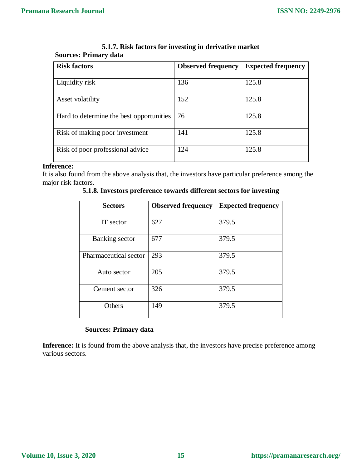| <b>Risk factors</b>                      | <b>Observed frequency</b> | <b>Expected frequency</b> |
|------------------------------------------|---------------------------|---------------------------|
| Liquidity risk                           | 136                       | 125.8                     |
| Asset volatility                         | 152                       | 125.8                     |
| Hard to determine the best opportunities | 76                        | 125.8                     |
| Risk of making poor investment           | 141                       | 125.8                     |
| Risk of poor professional advice         | 124                       | 125.8                     |

**5.1.7. Risk factors for investing in derivative market Sources: Primary data**

## **Inference:**

It is also found from the above analysis that, the investors have particular preference among the major risk factors.

| <b>Sectors</b>        | <b>Observed frequency</b> | <b>Expected frequency</b> |
|-----------------------|---------------------------|---------------------------|
| IT sector             | 627                       | 379.5                     |
| Banking sector        | 677                       | 379.5                     |
| Pharmaceutical sector | 293                       | 379.5                     |
| Auto sector           | 205                       | 379.5                     |
| Cement sector         | 326                       | 379.5                     |
| Others                | 149                       | 379.5                     |

**5.1.8. Investors preference towards different sectors for investing**

# **Sources: Primary data**

Inference: It is found from the above analysis that, the investors have precise preference among various sectors.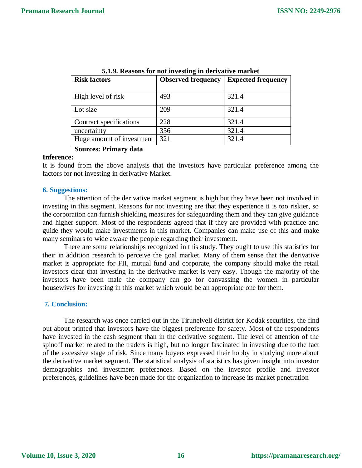| <b>Risk factors</b>       | <b>Observed frequency</b> | <b>Expected frequency</b> |
|---------------------------|---------------------------|---------------------------|
| High level of risk        | 493                       | 321.4                     |
| Lot size                  | 209                       | 321.4                     |
| Contract specifications   | 228                       | 321.4                     |
| uncertainty               | 356                       | 321.4                     |
| Huge amount of investment | 321                       | 321.4                     |

**5.1.9. Reasons for not investing in derivative market**

# **Sources: Primary data**

#### **Inference:**

It is found from the above analysis that the investors have particular preference among the factors for not investing in derivative Market.

#### **6. Suggestions:**

The attention of the derivative market segment is high but they have been not involved in investing in this segment. Reasons for not investing are that they experience it is too riskier, so the corporation can furnish shielding measures for safeguarding them and they can give guidance and higher support. Most of the respondents agreed that if they are provided with practice and guide they would make investments in this market. Companies can make use of this and make many seminars to wide awake the people regarding their investment.

There are some relationships recognized in this study. They ought to use this statistics for their in addition research to perceive the goal market. Many of them sense that the derivative market is appropriate for FII, mutual fund and corporate, the company should make the retail investors clear that investing in the derivative market is very easy. Though the majority of the investors have been male the company can go for canvassing the women in particular housewives for investing in this market which would be an appropriate one for them.

#### **7. Conclusion:**

The research was once carried out in the Tirunelveli district for Kodak securities, the find out about printed that investors have the biggest preference for safety. Most of the respondents have invested in the cash segment than in the derivative segment. The level of attention of the spinoff market related to the traders is high, but no longer fascinated in investing due to the fact of the excessive stage of risk. Since many buyers expressed their hobby in studying more about the derivative market segment. The statistical analysis of statistics has given insight into investor demographics and investment preferences. Based on the investor profile and investor preferences, guidelines have been made for the organization to increase its market penetration